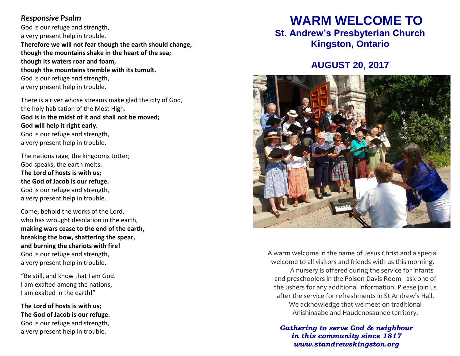#### **Responsive Psalm**

God is our refuge and strength, a very present help in trouble. **Therefore we will not fear though the earth should change, though the mountains shake in the heart of the sea; though its waters roar and foam, though the mountains tremble with its tumult.** God is our refuge and strength, a very present help in trouble.

There is a river whose streams make glad the city of God, the holy habitation of the Most High. **God is in the midst of it and shall not be moved; God will help it right early.** God is our refuge and strength, a very present help in trouble.

The nations rage, the kingdoms totter; God speaks, the earth melts. **The Lord of hosts is with us; the God of Jacob is our refuge.** God is our refuge and strength, a very present help in trouble.

Come, behold the works of the Lord, who has wrought desolation in the earth, **making wars cease to the end of the earth, breaking the bow, shattering the spear, and burning the chariots with fire!** God is our refuge and strength, a very present help in trouble.

"Be still, and know that I am God. I am exalted among the nations, I am exalted in the earth!"

**The Lord of hosts is with us; The God of Jacob is our refuge.** God is our refuge and strength, a very present help in trouble.

# **WARM WELCOME TO**

**St. Andrew's Presbyterian Church Kingston, Ontario**

## **AUGUST 20, 2017**



A warm welcome in the name of Jesus Christ and a special welcome to all visitors and friends with us this morning. A nursery is offered during the service for infants and preschoolers in the Polson-Davis Room - ask one of the ushers for any additional information. Please join us after the service for refreshments in St Andrew's Hall. We acknowledge that we meet on traditional Anishinaabe and Haudenosaunee territory.

*Gathering to serve God & neighbour in this community since 1817 www.standrewskingston.org*